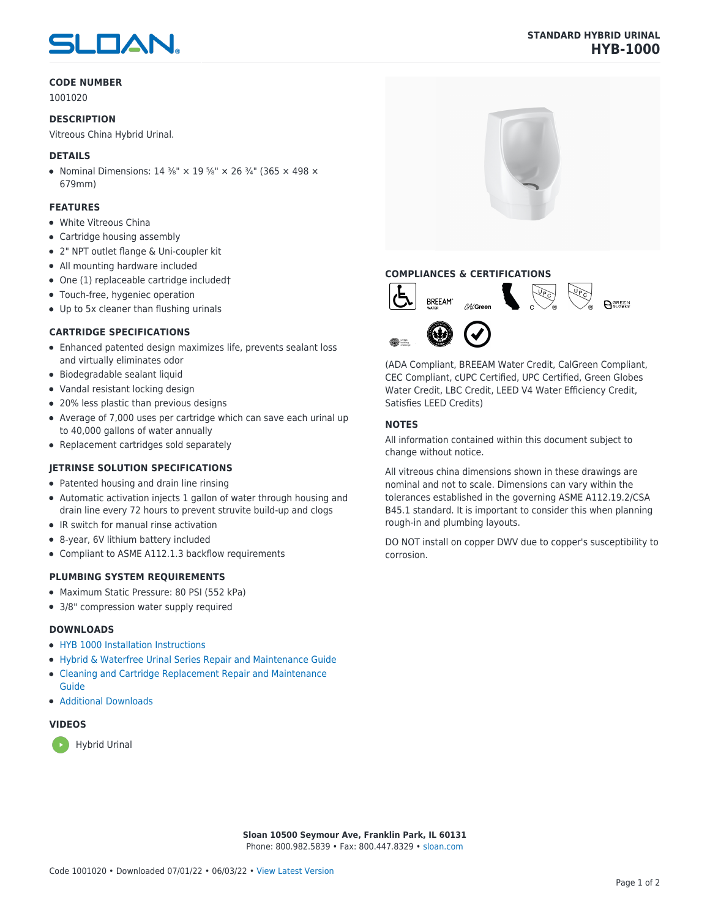# SLOAN

#### **CODE NUMBER**

1001020

#### **DESCRIPTION**

Vitreous China Hybrid Urinal.

#### **DETAILS**

• Nominal Dimensions:  $14 \frac{3}{8}$ " ×  $19 \frac{5}{8}$ " ×  $26 \frac{3}{4}$ " (365 × 498 × 679mm)

#### **FEATURES**

- White Vitreous China
- Cartridge housing assembly
- 2" NPT outlet flange & Uni-coupler kit
- All mounting hardware included
- One (1) replaceable cartridge included†
- Touch-free, hygeniec operation
- Up to 5x cleaner than flushing urinals

#### **CARTRIDGE SPECIFICATIONS**

- Enhanced patented design maximizes life, prevents sealant loss and virtually eliminates odor
- Biodegradable sealant liquid
- Vandal resistant locking design
- 20% less plastic than previous designs
- Average of 7,000 uses per cartridge which can save each urinal up to 40,000 gallons of water annually
- Replacement cartridges sold separately

#### **JETRINSE SOLUTION SPECIFICATIONS**

- Patented housing and drain line rinsing
- Automatic activation injects 1 gallon of water through housing and drain line every 72 hours to prevent struvite build-up and clogs
- IR switch for manual rinse activation
- 8-year, 6V lithium battery included
- Compliant to ASME A112.1.3 backflow requirements

#### **PLUMBING SYSTEM REQUIREMENTS**

- Maximum Static Pressure: 80 PSI (552 kPa)
- 3/8" compression water supply required

#### **DOWNLOADS**

- [HYB 1000 Installation Instructions](https://www.sloan.com/sites/default/files/2018-03/HYB-1000%20Hybrid%20Urinal%20Install%20%2803-18%29.pdf)
- [Hybrid & Waterfree Urinal Series Repair and Maintenance Guide](https://www.sloan.com/sites/default/files/2020-03/Hybrid_Urinal_Series_Maint_Guide.pdf)
- [Cleaning and Cartridge Replacement Repair and Maintenance](https://www.sloan.com/sites/default/files/2015-12/urinal-cleaning-and-cartridge-replacement.pdf)
- [Additional Downloads](https://www.sloan.com/commercial-bathroom-products/urinals/hyb-1000)

#### **VIDEOS**

[Guide](https://www.sloan.com/sites/default/files/2015-12/urinal-cleaning-and-cartridge-replacement.pdf)



## **STANDARD HYBRID URINAL HYB-1000**



### **COMPLIANCES & CERTIFICATIONS**



(ADA Compliant, BREEAM Water Credit, CalGreen Compliant, CEC Compliant, cUPC Certified, UPC Certified, Green Globes Water Credit, LBC Credit, LEED V4 Water Efficiency Credit, Satisfies LEED Credits)

#### **NOTES**

All information contained within this document subject to change without notice.

All vitreous china dimensions shown in these drawings are nominal and not to scale. Dimensions can vary within the tolerances established in the governing ASME A112.19.2/CSA B45.1 standard. It is important to consider this when planning rough-in and plumbing layouts.

DO NOT install on copper DWV due to copper's susceptibility to corrosion.